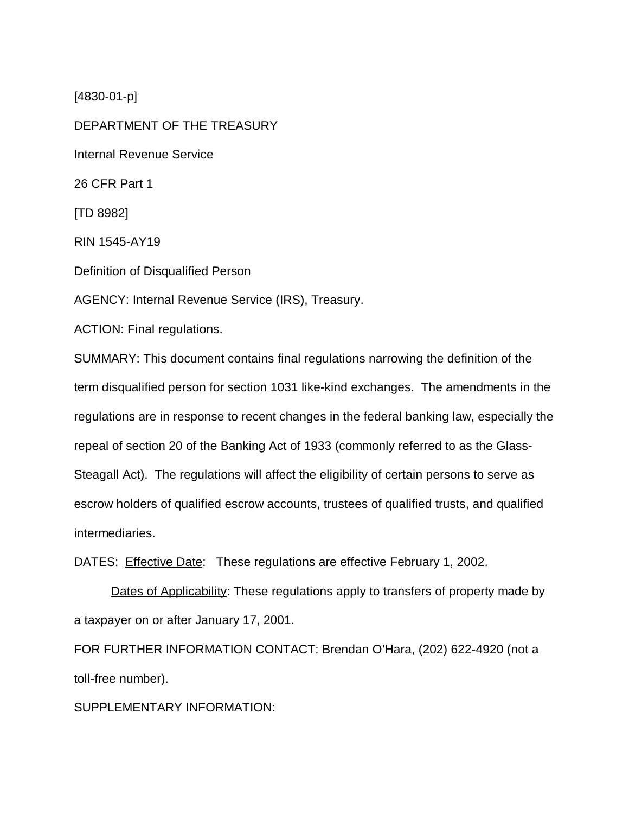[4830-01-p]

DEPARTMENT OF THE TREASURY Internal Revenue Service 26 CFR Part 1 [TD 8982] RIN 1545-AY19 Definition of Disqualified Person AGENCY: Internal Revenue Service (IRS), Treasury. ACTION: Final regulations.

SUMMARY: This document contains final regulations narrowing the definition of the term disqualified person for section 1031 like-kind exchanges. The amendments in the regulations are in response to recent changes in the federal banking law, especially the repeal of section 20 of the Banking Act of 1933 (commonly referred to as the Glass-Steagall Act). The regulations will affect the eligibility of certain persons to serve as escrow holders of qualified escrow accounts, trustees of qualified trusts, and qualified intermediaries.

DATES: **Effective Date:** These regulations are effective February 1, 2002.

Dates of Applicability: These regulations apply to transfers of property made by a taxpayer on or after January 17, 2001.

FOR FURTHER INFORMATION CONTACT: Brendan O'Hara, (202) 622-4920 (not a toll-free number).

SUPPLEMENTARY INFORMATION: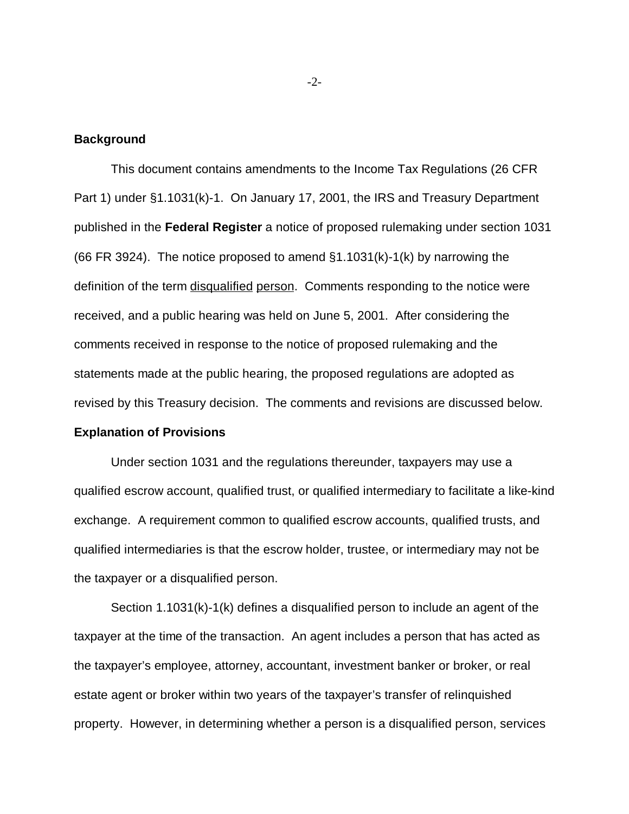### **Background**

This document contains amendments to the Income Tax Regulations (26 CFR Part 1) under §1.1031(k)-1. On January 17, 2001, the IRS and Treasury Department published in the **Federal Register** a notice of proposed rulemaking under section 1031 (66 FR 3924). The notice proposed to amend  $\S1.1031(k)-1(k)$  by narrowing the definition of the term disqualified person. Comments responding to the notice were received, and a public hearing was held on June 5, 2001. After considering the comments received in response to the notice of proposed rulemaking and the statements made at the public hearing, the proposed regulations are adopted as revised by this Treasury decision. The comments and revisions are discussed below.

### **Explanation of Provisions**

Under section 1031 and the regulations thereunder, taxpayers may use a qualified escrow account, qualified trust, or qualified intermediary to facilitate a like-kind exchange. A requirement common to qualified escrow accounts, qualified trusts, and qualified intermediaries is that the escrow holder, trustee, or intermediary may not be the taxpayer or a disqualified person.

Section 1.1031(k)-1(k) defines a disqualified person to include an agent of the taxpayer at the time of the transaction. An agent includes a person that has acted as the taxpayer's employee, attorney, accountant, investment banker or broker, or real estate agent or broker within two years of the taxpayer's transfer of relinquished property. However, in determining whether a person is a disqualified person, services

-2-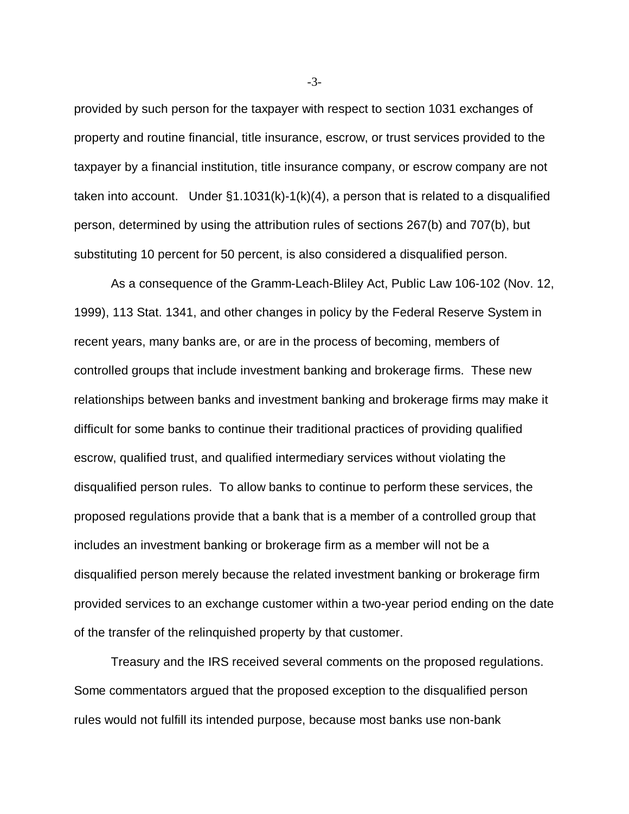provided by such person for the taxpayer with respect to section 1031 exchanges of property and routine financial, title insurance, escrow, or trust services provided to the taxpayer by a financial institution, title insurance company, or escrow company are not taken into account. Under  $\S1.1031(k)-1(k)(4)$ , a person that is related to a disqualified person, determined by using the attribution rules of sections 267(b) and 707(b), but substituting 10 percent for 50 percent, is also considered a disqualified person.

As a consequence of the Gramm-Leach-Bliley Act, Public Law 106-102 (Nov. 12, 1999), 113 Stat. 1341, and other changes in policy by the Federal Reserve System in recent years, many banks are, or are in the process of becoming, members of controlled groups that include investment banking and brokerage firms. These new relationships between banks and investment banking and brokerage firms may make it difficult for some banks to continue their traditional practices of providing qualified escrow, qualified trust, and qualified intermediary services without violating the disqualified person rules. To allow banks to continue to perform these services, the proposed regulations provide that a bank that is a member of a controlled group that includes an investment banking or brokerage firm as a member will not be a disqualified person merely because the related investment banking or brokerage firm provided services to an exchange customer within a two-year period ending on the date of the transfer of the relinquished property by that customer.

Treasury and the IRS received several comments on the proposed regulations. Some commentators argued that the proposed exception to the disqualified person rules would not fulfill its intended purpose, because most banks use non-bank

-3-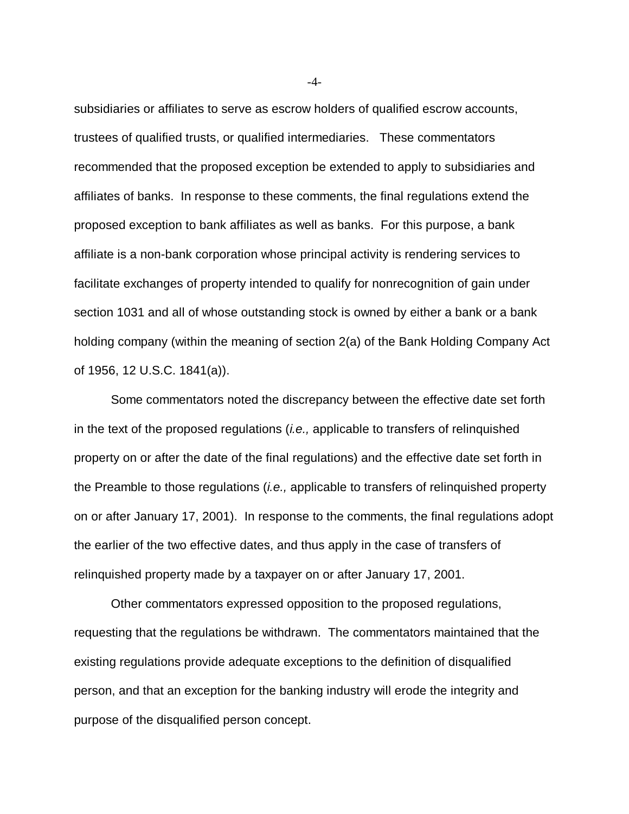subsidiaries or affiliates to serve as escrow holders of qualified escrow accounts, trustees of qualified trusts, or qualified intermediaries. These commentators recommended that the proposed exception be extended to apply to subsidiaries and affiliates of banks. In response to these comments, the final regulations extend the proposed exception to bank affiliates as well as banks. For this purpose, a bank affiliate is a non-bank corporation whose principal activity is rendering services to facilitate exchanges of property intended to qualify for nonrecognition of gain under section 1031 and all of whose outstanding stock is owned by either a bank or a bank holding company (within the meaning of section 2(a) of the Bank Holding Company Act of 1956, 12 U.S.C. 1841(a)).

Some commentators noted the discrepancy between the effective date set forth in the text of the proposed regulations *(i.e.,* applicable to transfers of relinquished property on or after the date of the final regulations) and the effective date set forth in the Preamble to those regulations (i.e., applicable to transfers of relinquished property on or after January 17, 2001). In response to the comments, the final regulations adopt the earlier of the two effective dates, and thus apply in the case of transfers of relinquished property made by a taxpayer on or after January 17, 2001.

Other commentators expressed opposition to the proposed regulations, requesting that the regulations be withdrawn. The commentators maintained that the existing regulations provide adequate exceptions to the definition of disqualified person, and that an exception for the banking industry will erode the integrity and purpose of the disqualified person concept.

-4-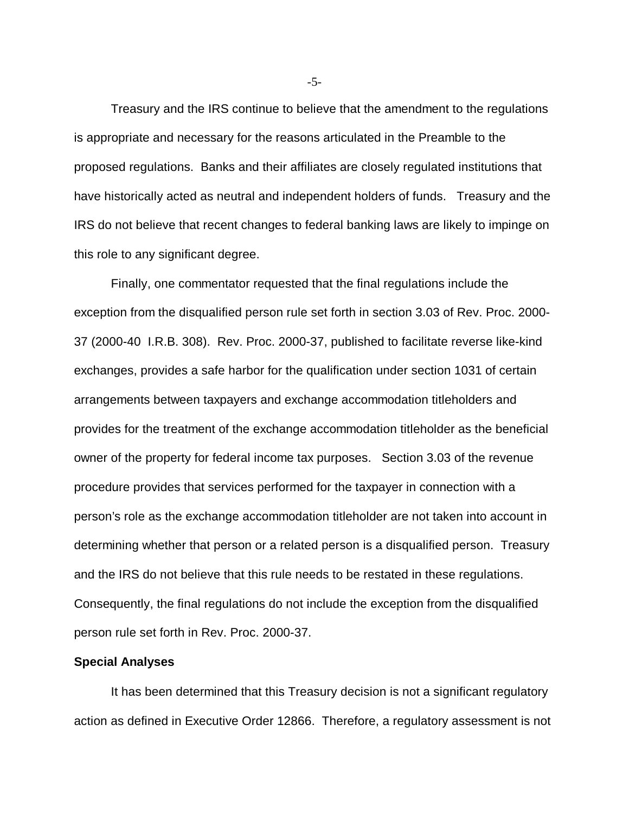Treasury and the IRS continue to believe that the amendment to the regulations is appropriate and necessary for the reasons articulated in the Preamble to the proposed regulations. Banks and their affiliates are closely regulated institutions that have historically acted as neutral and independent holders of funds. Treasury and the IRS do not believe that recent changes to federal banking laws are likely to impinge on this role to any significant degree.

Finally, one commentator requested that the final regulations include the exception from the disqualified person rule set forth in section 3.03 of Rev. Proc. 2000- 37 (2000-40 I.R.B. 308). Rev. Proc. 2000-37, published to facilitate reverse like-kind exchanges, provides a safe harbor for the qualification under section 1031 of certain arrangements between taxpayers and exchange accommodation titleholders and provides for the treatment of the exchange accommodation titleholder as the beneficial owner of the property for federal income tax purposes. Section 3.03 of the revenue procedure provides that services performed for the taxpayer in connection with a person's role as the exchange accommodation titleholder are not taken into account in determining whether that person or a related person is a disqualified person. Treasury and the IRS do not believe that this rule needs to be restated in these regulations. Consequently, the final regulations do not include the exception from the disqualified person rule set forth in Rev. Proc. 2000-37.

### **Special Analyses**

It has been determined that this Treasury decision is not a significant regulatory action as defined in Executive Order 12866. Therefore, a regulatory assessment is not

-5-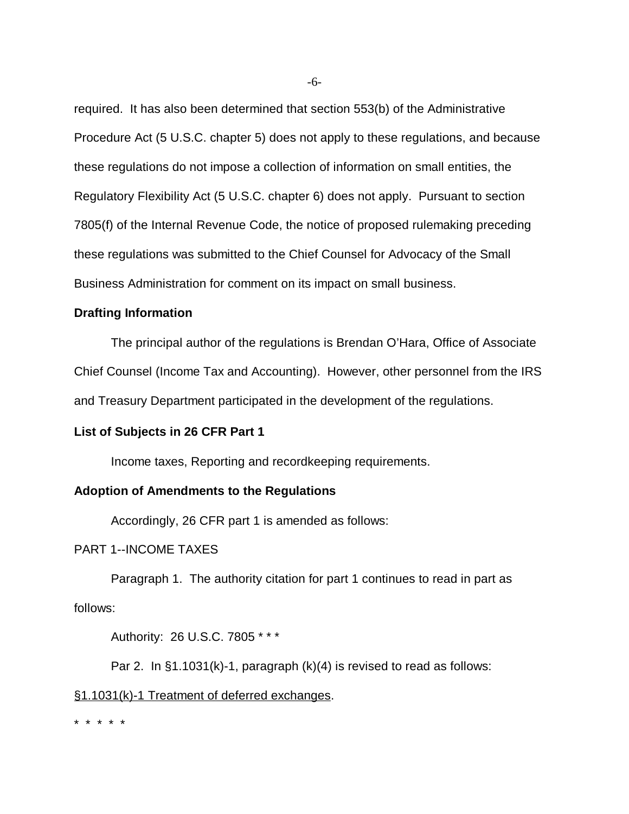required. It has also been determined that section 553(b) of the Administrative Procedure Act (5 U.S.C. chapter 5) does not apply to these regulations, and because these regulations do not impose a collection of information on small entities, the Regulatory Flexibility Act (5 U.S.C. chapter 6) does not apply. Pursuant to section 7805(f) of the Internal Revenue Code, the notice of proposed rulemaking preceding these regulations was submitted to the Chief Counsel for Advocacy of the Small Business Administration for comment on its impact on small business.

## **Drafting Information**

The principal author of the regulations is Brendan O'Hara, Office of Associate Chief Counsel (Income Tax and Accounting). However, other personnel from the IRS and Treasury Department participated in the development of the regulations.

# **List of Subjects in 26 CFR Part 1**

Income taxes, Reporting and recordkeeping requirements.

#### **Adoption of Amendments to the Regulations**

Accordingly, 26 CFR part 1 is amended as follows:

## PART 1--INCOME TAXES

Paragraph 1. The authority citation for part 1 continues to read in part as follows:

Authority: 26 U.S.C. 7805 \* \* \*

Par 2. In §1.1031(k)-1, paragraph (k)(4) is revised to read as follows:

## §1.1031(k)-1 Treatment of deferred exchanges.

\* \* \* \* \*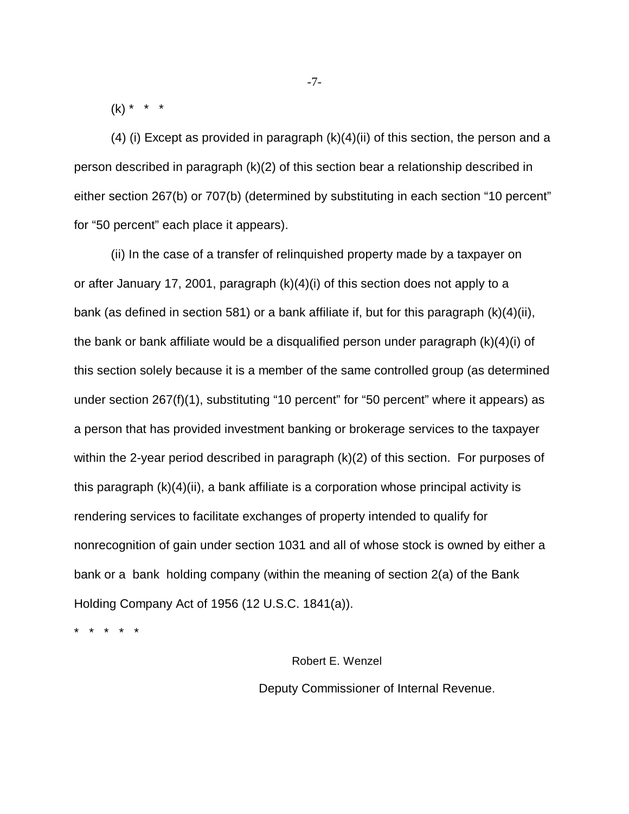$(k) * * * *$ 

 $(4)$  (i) Except as provided in paragraph  $(k)(4)$ (ii) of this section, the person and a person described in paragraph (k)(2) of this section bear a relationship described in either section 267(b) or 707(b) (determined by substituting in each section "10 percent" for "50 percent" each place it appears).

(ii) In the case of a transfer of relinquished property made by a taxpayer on or after January 17, 2001, paragraph (k)(4)(i) of this section does not apply to a bank (as defined in section 581) or a bank affiliate if, but for this paragraph (k)(4)(ii), the bank or bank affiliate would be a disqualified person under paragraph (k)(4)(i) of this section solely because it is a member of the same controlled group (as determined under section 267(f)(1), substituting "10 percent" for "50 percent" where it appears) as a person that has provided investment banking or brokerage services to the taxpayer within the 2-year period described in paragraph (k)(2) of this section. For purposes of this paragraph (k)(4)(ii), a bank affiliate is a corporation whose principal activity is rendering services to facilitate exchanges of property intended to qualify for nonrecognition of gain under section 1031 and all of whose stock is owned by either a bank or a bank holding company (within the meaning of section 2(a) of the Bank Holding Company Act of 1956 (12 U.S.C. 1841(a)).

\* \* \* \* \*

 Robert E. Wenzel Deputy Commissioner of Internal Revenue.

-7-